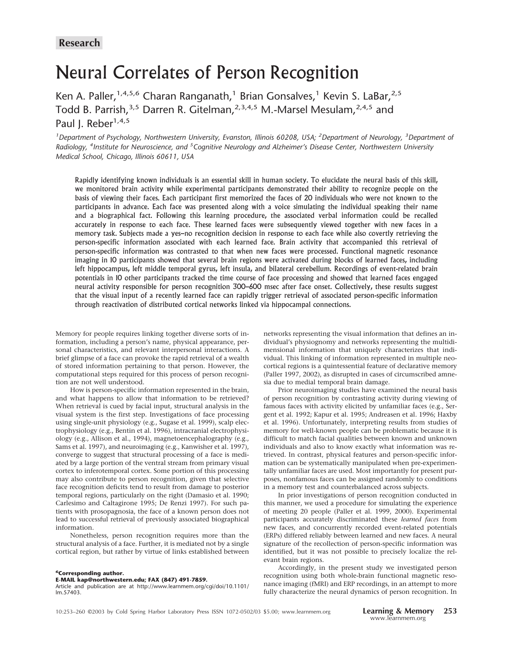# Neural Correlates of Person Recognition

Ken A. Paller,<sup>1,4,5,6</sup> Charan Ranganath,<sup>1</sup> Brian Gonsalves,<sup>1</sup> Kevin S. LaBar,<sup>2,5</sup> Todd B. Parrish,<sup>3,5</sup> Darren R. Gitelman,<sup>2,3,4,5</sup> M.-Marsel Mesulam,<sup>2,4,5</sup> and Paul J. Reber<sup>1,4,5</sup>

*1 Department of Psychology, Northwestern University, Evanston, Illinois 60208, USA; <sup>2</sup> Department of Neurology, <sup>3</sup> Department of* Radiology, <sup>4</sup>Institute for Neuroscience, and <sup>5</sup> Cognitive Neurology and Alzheimer's Disease Center, Northwestern University *Medical School, Chicago, Illinois 60611, USA*

Rapidly identifying known individuals is an essential skill in human society. To elucidate the neural basis of this skill, we monitored brain activity while experimental participants demonstrated their ability to recognize people on the basis of viewing their faces. Each participant first memorized the faces of 20 individuals who were not known to the participants in advance. Each face was presented along with a voice simulating the individual speaking their name and a biographical fact. Following this learning procedure, the associated verbal information could be recalled accurately in response to each face. These learned faces were subsequently viewed together with new faces in a memory task. Subjects made a yes–no recognition decision in response to each face while also covertly retrieving the person-specific information associated with each learned face. Brain activity that accompanied this retrieval of person-specific information was contrasted to that when new faces were processed. Functional magnetic resonance imaging in 10 participants showed that several brain regions were activated during blocks of learned faces, including left hippocampus, left middle temporal gyrus, left insula, and bilateral cerebellum. Recordings of event-related brain potentials in 10 other participants tracked the time course of face processing and showed that learned faces engaged neural activity responsible for person recognition 300–600 msec after face onset. Collectively, these results suggest that the visual input of a recently learned face can rapidly trigger retrieval of associated person-specific information through reactivation of distributed cortical networks linked via hippocampal connections.

Memory for people requires linking together diverse sorts of information, including a person's name, physical appearance, personal characteristics, and relevant interpersonal interactions. A brief glimpse of a face can provoke the rapid retrieval of a wealth of stored information pertaining to that person. However, the computational steps required for this process of person recognition are not well understood.

How is person-specific information represented in the brain, and what happens to allow that information to be retrieved? When retrieval is cued by facial input, structural analysis in the visual system is the first step. Investigations of face processing using single-unit physiology (e.g., Sugase et al. 1999), scalp electrophysiology (e.g., Bentin et al. 1996), intracranial electrophysiology (e.g., Allison et al., 1994), magnetoencephalography (e.g., Sams et al. 1997), and neuroimaging (e.g., Kanwisher et al. 1997), converge to suggest that structural processing of a face is mediated by a large portion of the ventral stream from primary visual cortex to inferotemporal cortex. Some portion of this processing may also contribute to person recognition, given that selective face recognition deficits tend to result from damage to posterior temporal regions, particularly on the right (Damasio et al. 1990; Carlesimo and Caltagirone 1995; De Renzi 1997). For such patients with prosopagnosia, the face of a known person does not lead to successful retrieval of previously associated biographical information.

Nonetheless, person recognition requires more than the structural analysis of a face. Further, it is mediated not by a single cortical region, but rather by virtue of links established between

#### **6Corresponding author.**

**E-MAIL kap@northwestern.edu; FAX (847) 491-7859.**

Article and publication are at http://www.learnmem.org/cgi/doi/10.1101/ lm.57403.

networks representing the visual information that defines an individual's physiognomy and networks representing the multidimensional information that uniquely characterizes that individual. This linking of information represented in multiple neocortical regions is a quintessential feature of declarative memory (Paller 1997, 2002), as disrupted in cases of circumscribed amnesia due to medial temporal brain damage.

Prior neuroimaging studies have examined the neural basis of person recognition by contrasting activity during viewing of famous faces with activity elicited by unfamiliar faces (e.g., Sergent et al. 1992; Kapur et al. 1995; Andreasen et al. 1996; Haxby et al. 1996). Unfortunately, interpreting results from studies of memory for well-known people can be problematic because it is difficult to match facial qualities between known and unknown individuals and also to know exactly what information was retrieved. In contrast, physical features and person-specific information can be systematically manipulated when pre-experimentally unfamiliar faces are used. Most importantly for present purposes, nonfamous faces can be assigned randomly to conditions in a memory test and counterbalanced across subjects.

In prior investigations of person recognition conducted in this manner, we used a procedure for simulating the experience of meeting 20 people (Paller et al. 1999, 2000). Experimental participants accurately discriminated these *learned faces* from new faces, and concurrently recorded event-related potentials (ERPs) differed reliably between learned and new faces. A neural signature of the recollection of person-specific information was identified, but it was not possible to precisely localize the relevant brain regions.

Accordingly, in the present study we investigated person recognition using both whole-brain functional magnetic resonance imaging (fMRI) and ERP recordings, in an attempt to more fully characterize the neural dynamics of person recognition. In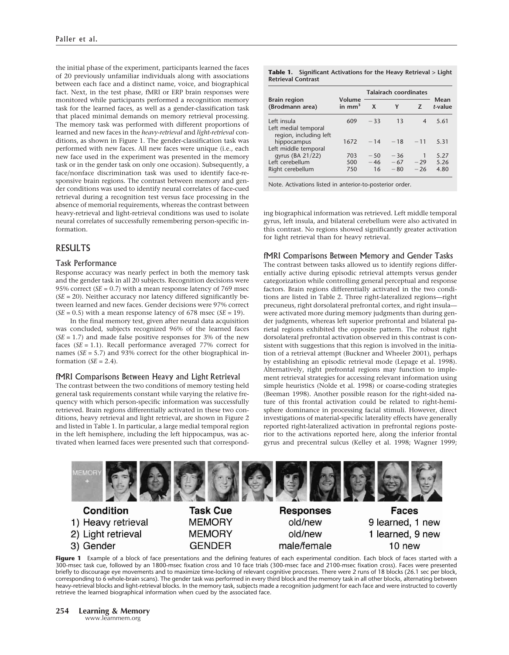the initial phase of the experiment, participants learned the faces of 20 previously unfamiliar individuals along with associations between each face and a distinct name, voice, and biographical fact. Next, in the test phase, fMRI or ERP brain responses were monitored while participants performed a recognition memory task for the learned faces, as well as a gender-classification task that placed minimal demands on memory retrieval processing. The memory task was performed with different proportions of learned and new faces in the *heavy-retrieval* and *light-retrieval* conditions, as shown in Figure 1. The gender-classification task was performed with new faces. All new faces were unique (i.e., each new face used in the experiment was presented in the memory task or in the gender task on only one occasion). Subsequently, a face/nonface discrimination task was used to identify face-responsive brain regions. The contrast between memory and gender conditions was used to identify neural correlates of face-cued retrieval during a recognition test versus face processing in the absence of memorial requirements, whereas the contrast between heavy-retrieval and light-retrieval conditions was used to isolate neural correlates of successfully remembering person-specific information.

## RESULTS

## Task Performance

Response accuracy was nearly perfect in both the memory task and the gender task in all 20 subjects. Recognition decisions were 95% correct (*SE* = 0.7) with a mean response latency of 769 msec (*SE* = 20). Neither accuracy nor latency differed significantly between learned and new faces. Gender decisions were 97% correct  $(SE = 0.5)$  with a mean response latency of 678 msec  $(SE = 19)$ .

In the final memory test, given after neural data acquisition was concluded, subjects recognized 96% of the learned faces (*SE* = 1.7) and made false positive responses for 3% of the new faces (*SE* = 1.1). Recall performance averaged 77% correct for names (*SE* = 5.7) and 93% correct for the other biographical information  $(SE = 2.4)$ .

## fMRI Comparisons Between Heavy and Light Retrieval

The contrast between the two conditions of memory testing held general task requirements constant while varying the relative frequency with which person-specific information was successfully retrieved. Brain regions differentially activated in these two conditions, heavy retrieval and light retrieval, are shown in Figure 2 and listed in Table 1. In particular, a large medial temporal region in the left hemisphere, including the left hippocampus, was activated when learned faces were presented such that correspond**Table 1. Significant Activations for the Heavy Retrieval > Light Retrieval Contrast**

|                                                               |                    | <b>Talairach coordinates</b> |       |                |                 |
|---------------------------------------------------------------|--------------------|------------------------------|-------|----------------|-----------------|
| <b>Brain region</b><br>(Brodmann area)                        | Volume<br>in $mm3$ | X                            | γ     | $\overline{ }$ | Mean<br>t-value |
| Left insula<br>Left medial temporal<br>region, including left | 609                | $-33$                        | 13    | 4              | 5.61            |
| hippocampus<br>Left middle temporal                           | 1672               | $-14$                        | $-18$ | $-11$          | 5.31            |
| qyrus (BA 21/22)                                              | 703                | $-50$                        | $-36$ |                | 5.27            |
| Left cerebellum                                               | 500                | $-46$                        | $-67$ | $-29$          | 5.26            |
| Right cerebellum                                              | 750                | 16                           | $-80$ | $-26$          | 4.80            |

Note. Activations listed in anterior-to-posterior order.

ing biographical information was retrieved. Left middle temporal gyrus, left insula, and bilateral cerebellum were also activated in this contrast. No regions showed significantly greater activation for light retrieval than for heavy retrieval.

## fMRI Comparisons Between Memory and Gender Tasks

The contrast between tasks allowed us to identify regions differentially active during episodic retrieval attempts versus gender categorization while controlling general perceptual and response factors. Brain regions differentially activated in the two conditions are listed in Table 2. Three right-lateralized regions—right precuneus, right dorsolateral prefrontal cortex, and right insula were activated more during memory judgments than during gender judgments, whereas left superior prefrontal and bilateral parietal regions exhibited the opposite pattern. The robust right dorsolateral prefrontal activation observed in this contrast is consistent with suggestions that this region is involved in the initiation of a retrieval attempt (Buckner and Wheeler 2001), perhaps by establishing an episodic retrieval mode (Lepage et al. 1998). Alternatively, right prefrontal regions may function to implement retrieval strategies for accessing relevant information using simple heuristics (Nolde et al. 1998) or coarse-coding strategies (Beeman 1998). Another possible reason for the right-sided nature of this frontal activation could be related to right-hemisphere dominance in processing facial stimuli. However, direct investigations of material-specific laterality effects have generally reported right-lateralized activation in prefrontal regions posterior to the activations reported here, along the inferior frontal gyrus and precentral sulcus (Kelley et al. 1998; Wagner 1999;

10 new





3) Gender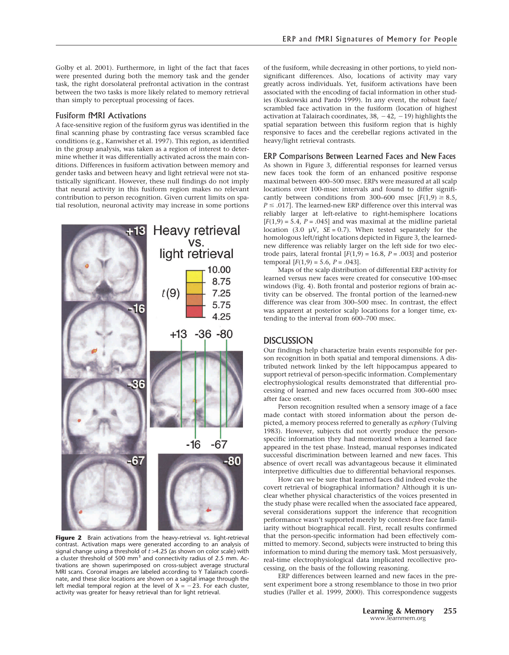Golby et al. 2001). Furthermore, in light of the fact that faces were presented during both the memory task and the gender task, the right dorsolateral prefrontal activation in the contrast between the two tasks is more likely related to memory retrieval than simply to perceptual processing of faces.

#### Fusiform fMRI Activations

A face-sensitive region of the fusiform gyrus was identified in the final scanning phase by contrasting face versus scrambled face conditions (e.g., Kanwisher et al. 1997). This region, as identified in the group analysis, was taken as a region of interest to determine whether it was differentially activated across the main conditions. Differences in fusiform activation between memory and gender tasks and between heavy and light retrieval were not statistically significant. However, these null findings do not imply that neural activity in this fusiform region makes no relevant contribution to person recognition. Given current limits on spatial resolution, neuronal activity may increase in some portions



**Figure 2** Brain activations from the heavy-retrieval vs. light-retrieval contrast. Activation maps were generated according to an analysis of signal change using a threshold of  $t > 4.25$  (as shown on color scale) with a cluster threshold of 500 mm<sup>3</sup> and connectivity radius of 2.5 mm. Activations are shown superimposed on cross-subject average structural MRI scans. Coronal images are labeled according to Y Talairach coordinate, and these slice locations are shown on a sagital image through the left medial temporal region at the level of  $X = -23$ . For each cluster, activity was greater for heavy retrieval than for light retrieval.

of the fusiform, while decreasing in other portions, to yield nonsignificant differences. Also, locations of activity may vary greatly across individuals. Yet, fusiform activations have been associated with the encoding of facial information in other studies (Kuskowski and Pardo 1999). In any event, the robust face/ scrambled face activation in the fusiform (location of highest activation at Talairach coordinates,  $38, -42, -19$ ) highlights the spatial separation between this fusiform region that is highly responsive to faces and the cerebellar regions activated in the heavy/light retrieval contrasts.

ERP Comparisons Between Learned Faces and New Faces As shown in Figure 3, differential responses for learned versus new faces took the form of an enhanced positive response maximal between 400–500 msec. ERPs were measured at all scalp locations over 100-msec intervals and found to differ significantly between conditions from 300–600 msec  $[F(1.9) \ge 8.5]$ .  $P \leq .017$ ]. The learned-new ERP difference over this interval was reliably larger at left-relative to right-hemisphere locations  $[F(1,9) = 5.4, P = .045]$  and was maximal at the midline parietal location (3.0 µV, *SE* = 0.7). When tested separately for the homologous left/right locations depicted in Figure 3, the learnednew difference was reliably larger on the left side for two electrode pairs, lateral frontal  $[F(1,9) = 16.8, P = .003]$  and posterior temporal  $[F(1,9) = 5.6, P = .043]$ .

Maps of the scalp distribution of differential ERP activity for learned versus new faces were created for consecutive 100-msec windows (Fig. 4). Both frontal and posterior regions of brain activity can be observed. The frontal portion of the learned-new difference was clear from 300–500 msec. In contrast, the effect was apparent at posterior scalp locations for a longer time, extending to the interval from 600–700 msec.

## **DISCUSSION**

Our findings help characterize brain events responsible for person recognition in both spatial and temporal dimensions. A distributed network linked by the left hippocampus appeared to support retrieval of person-specific information. Complementary electrophysiological results demonstrated that differential processing of learned and new faces occurred from 300–600 msec after face onset.

Person recognition resulted when a sensory image of a face made contact with stored information about the person depicted, a memory process referred to generally as *ecphory* (Tulving 1983). However, subjects did not overtly produce the personspecific information they had memorized when a learned face appeared in the test phase. Instead, manual responses indicated successful discrimination between learned and new faces. This absence of overt recall was advantageous because it eliminated interpretive difficulties due to differential behavioral responses.

How can we be sure that learned faces did indeed evoke the covert retrieval of biographical information? Although it is unclear whether physical characteristics of the voices presented in the study phase were recalled when the associated face appeared, several considerations support the inference that recognition performance wasn't supported merely by context-free face familiarity without biographical recall. First, recall results confirmed that the person-specific information had been effectively committed to memory. Second, subjects were instructed to bring this information to mind during the memory task. Most persuasively, real-time electrophysiological data implicated recollective processing, on the basis of the following reasoning.

ERP differences between learned and new faces in the present experiment bore a strong resemblance to those in two prior studies (Paller et al. 1999, 2000). This correspondence suggests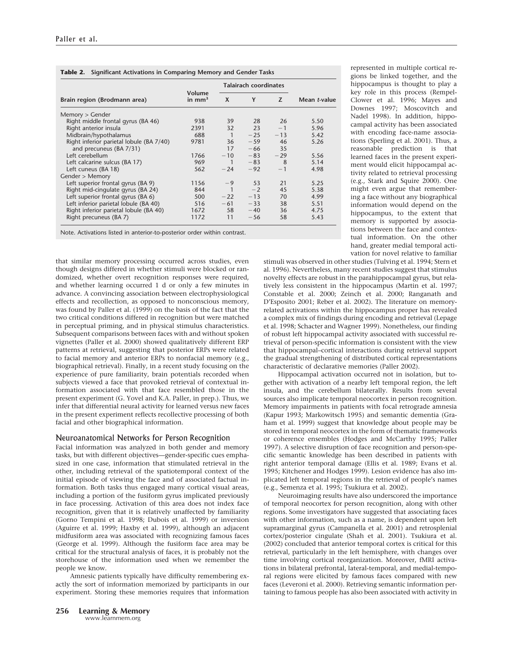|                                          | Volume<br>in $mm3$ | <b>Talairach coordinates</b> |       |                |              |
|------------------------------------------|--------------------|------------------------------|-------|----------------|--------------|
| Brain region (Brodmann area)             |                    | X                            | Y     | $\overline{7}$ | Mean t-value |
| Memory > Generate                        |                    |                              |       |                |              |
| Right middle frontal gyrus (BA 46)       | 938                | 39                           | 28    | 26             | 5.50         |
| Right anterior insula                    | 2391               | 32                           | 23    | $-1$           | 5.96         |
| Midbrain/hypothalamus                    | 688                | $\mathbf{1}$                 | $-25$ | $-13$          | 5.42         |
| Right inferior parietal lobule (BA 7/40) | 9781               | 36                           | $-59$ | 46             | 5.26         |
| and precuneus (BA 7/31)                  |                    | 17                           | $-66$ | 35             |              |
| Left cerebellum                          | 1766               | $-10$                        | $-83$ | $-29$          | 5.56         |
| Left calcarine sulcus (BA 17)            | 969                |                              | $-83$ | 8              | 5.14         |
| Left cuneus (BA 18)                      | 562                | $-24$                        | $-92$ | $-1$           | 4.98         |
| Gender > Memory                          |                    |                              |       |                |              |
| Left superior frontal gyrus (BA 9)       | 1156               | $-9$                         | 53    | 21             | 5.25         |
| Right mid-cingulate gyrus (BA 24)        | 844                |                              | $-2$  | 45             | 5.38         |
| Left superior frontal gyrus (BA 6)       | 500                | $-22$                        | $-13$ | 70             | 4.99         |
| Left inferior parietal lobule (BA 40)    | 516                | $-61$                        | $-33$ | 38             | 5.51         |
| Right inferior parietal lobule (BA 40)   | 1672               | 58                           | $-40$ | 36             | 4.75         |
| Right precuneus (BA 7)                   | 1172               | 11                           | $-56$ | 58             | 5.43         |

Note. Activations listed in anterior-to-posterior order within contrast.

that similar memory processing occurred across studies, even though designs differed in whether stimuli were blocked or randomized, whether overt recognition responses were required, and whether learning occurred 1 d or only a few minutes in advance. A convincing association between electrophysiological effects and recollection, as opposed to nonconscious memory, was found by Paller et al. (1999) on the basis of the fact that the two critical conditions differed in recognition but were matched in perceptual priming, and in physical stimulus characteristics. Subsequent comparisons between faces with and without spoken vignettes (Paller et al. 2000) showed qualitatively different ERP patterns at retrieval, suggesting that posterior ERPs were related to facial memory and anterior ERPs to nonfacial memory (e.g., biographical retrieval). Finally, in a recent study focusing on the experience of pure familiarity, brain potentials recorded when subjects viewed a face that provoked retrieval of contextual information associated with that face resembled those in the present experiment (G. Yovel and K.A. Paller, in prep.). Thus, we infer that differential neural activity for learned versus new faces in the present experiment reflects recollective processing of both facial and other biographical information.

## Neuroanatomical Networks for Person Recognition

Facial information was analyzed in both gender and memory tasks, but with different objectives—gender-specific cues emphasized in one case, information that stimulated retrieval in the other, including retrieval of the spatiotemporal context of the initial episode of viewing the face and of associated factual information. Both tasks thus engaged many cortical visual areas, including a portion of the fusiform gyrus implicated previously in face processing. Activation of this area does not index face recognition, given that it is relatively unaffected by familiarity (Gorno Tempini et al. 1998; Dubois et al. 1999) or inversion (Aguirre et al. 1999; Haxby et al. 1999), although an adjacent midfusiform area was associated with recognizing famous faces (George et al. 1999). Although the fusiform face area may be critical for the structural analysis of faces, it is probably not the storehouse of the information used when we remember the people we know.

Amnesic patients typically have difficulty remembering exactly the sort of information memorized by participants in our experiment. Storing these memories requires that information represented in multiple cortical regions be linked together, and the hippocampus is thought to play a key role in this process (Rempel-Clower et al. 1996; Mayes and Downes 1997; Moscovitch and Nadel 1998). In addition, hippocampal activity has been associated with encoding face-name associations (Sperling et al. 2001). Thus, a reasonable prediction is that learned faces in the present experiment would elicit hippocampal activity related to retrieval processing (e.g., Stark and Squire 2000). One might even argue that remembering a face without any biographical information would depend on the hippocampus, to the extent that memory is supported by associations between the face and contextual information. On the other hand, greater medial temporal activation for novel relative to familiar

stimuli was observed in other studies (Tulving et al. 1994; Stern et al. 1996). Nevertheless, many recent studies suggest that stimulus novelty effects are robust in the parahippocampal gyrus, but relatively less consistent in the hippocampus (Martin et al. 1997; Constable et al. 2000; Zeinch et al. 2000; Ranganath and D'Esposito 2001; Reber et al. 2002). The literature on memoryrelated activations within the hippocampus proper has revealed a complex mix of findings during encoding and retrieval (Lepage et al. 1998; Schacter and Wagner 1999). Nonetheless, our finding of robust left hippocampal activity associated with successful retrieval of person-specific information is consistent with the view that hippocampal–cortical interactions during retrieval support the gradual strengthening of distributed cortical representations characteristic of declarative memories (Paller 2002).

Hippocampal activation occurred not in isolation, but together with activation of a nearby left temporal region, the left insula, and the cerebellum bilaterally. Results from several sources also implicate temporal neocortex in person recognition. Memory impairments in patients with focal retrograde amnesia (Kapur 1993; Markowitsch 1995) and semantic dementia (Graham et al. 1999) suggest that knowledge about people may be stored in temporal neocortex in the form of thematic frameworks or coherence ensembles (Hodges and McCarthy 1995; Paller 1997). A selective disruption of face recognition and person-specific semantic knowledge has been described in patients with right anterior temporal damage (Ellis et al. 1989; Evans et al. 1995; Kitchener and Hodges 1999). Lesion evidence has also implicated left temporal regions in the retrieval of people's names (e.g., Semenza et al. 1995; Tsukiura et al. 2002).

Neuroimaging results have also underscored the importance of temporal neocortex for person recognition, along with other regions. Some investigators have suggested that associating faces with other information, such as a name, is dependent upon left supramarginal gyrus (Campanella et al. 2001) and retrosplenial cortex/posterior cingulate (Shah et al. 2001). Tsukiura et al. (2002) concluded that anterior temporal cortex is critical for this retrieval, particularly in the left hemisphere, with changes over time involving cortical reorganization. Moreover, fMRI activations in bilateral prefrontal, lateral-temporal, and medial-temporal regions were elicited by famous faces compared with new faces (Leveroni et al. 2000). Retrieving semantic information pertaining to famous people has also been associated with activity in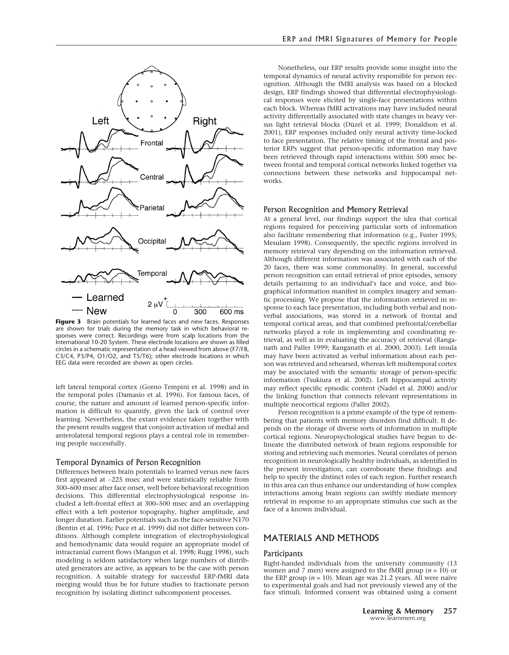

Figure 3 Brain potentials for learned faces and new faces. Responses are shown for trials during the memory task in which behavioral responses were correct. Recordings were from scalp locations from the International 10-20 System. These electrode locations are shown as filled circles in a schematic representation of a head viewed from above (F7/F8, C3/C4, P3/P4, O1/O2, and T5/T6); other electrode locations in which EEG data were recorded are shown as open circles.

left lateral temporal cortex (Gorno Tempini et al. 1998) and in the temporal poles (Damasio et al. 1996). For famous faces, of course, the nature and amount of learned person-specific information is difficult to quantify, given the lack of control over learning. Nevertheless, the extant evidence taken together with the present results suggest that conjoint activation of medial and anterolateral temporal regions plays a central role in remembering people successfully.

#### Temporal Dynamics of Person Recognition

Differences between brain potentials to learned versus new faces first appeared at ∼225 msec and were statistically reliable from 300–600 msec after face onset, well before behavioral recognition decisions. This differential electrophysiological response included a left-frontal effect at 300–500 msec and an overlapping effect with a left posterior topography, higher amplitude, and longer duration. Earlier potentials such as the face-sensitive N170 (Bentin et al. 1996; Puce et al. 1999) did not differ between conditions. Although complete integration of electrophysiological and hemodynamic data would require an appropriate model of intracranial current flows (Mangun et al. 1998; Rugg 1998), such modeling is seldom satisfactory when large numbers of distributed generators are active, as appears to be the case with person recognition. A suitable strategy for successful ERP-fMRI data merging would thus be for future studies to fractionate person recognition by isolating distinct subcomponent processes.

Nonetheless, our ERP results provide some insight into the temporal dynamics of neural activity responsible for person recognition. Although the fMRI analysis was based on a blocked design, ERP findings showed that differential electrophysiological responses were elicited by single-face presentations within each block. Whereas fMRI activations may have included neural activity differentially associated with state changes in heavy versus light retrieval blocks (Düzel et al. 1999; Donaldson et al. 2001), ERP responses included only neural activity time-locked to face presentation. The relative timing of the frontal and posterior ERPs suggest that person-specific information may have been retrieved through rapid interactions within 500 msec between frontal and temporal cortical networks linked together via connections between these networks and hippocampal networks.

#### Person Recognition and Memory Retrieval

At a general level, our findings support the idea that cortical regions required for perceiving particular sorts of information also facilitate remembering that information (e.g., Fuster 1995; Mesulam 1998). Consequently, the specific regions involved in memory retrieval vary depending on the information retrieved. Although different information was associated with each of the 20 faces, there was some commonality. In general, successful person recognition can entail retrieval of prior episodes, sensory details pertaining to an individual's face and voice, and biographical information manifest in complex imagery and semantic processing. We propose that the information retrieved in response to each face presentation, including both verbal and nonverbal associations, was stored in a network of frontal and temporal cortical areas, and that combined prefrontal/cerebellar networks played a role in implementing and coordinating retrieval, as well as in evaluating the accuracy of retrieval (Ranganath and Paller 1999; Ranganath et al. 2000, 2003). Left insula may have been activated as verbal information about each person was retrieved and rehearsed, whereas left midtemporal cortex may be associated with the semantic storage of person-specific information (Tsukiura et al. 2002). Left hippocampal activity may reflect specific episodic content (Nadel et al. 2000) and/or the linking function that connects relevant representations in multiple neocortical regions (Paller 2002).

Person recognition is a prime example of the type of remembering that patients with memory disorders find difficult. It depends on the storage of diverse sorts of information in multiple cortical regions. Neuropsychological studies have begun to delineate the distributed network of brain regions responsible for storing and retrieving such memories. Neural correlates of person recognition in neurologically healthy individuals, as identified in the present investigation, can corroborate these findings and help to specify the distinct roles of each region. Further research in this area can thus enhance our understanding of how complex interactions among brain regions can swiftly mediate memory retrieval in response to an appropriate stimulus cue such as the face of a known individual.

## MATERIALS AND METHODS

## **Participants**

Right-handed individuals from the university community (13 women and 7 men) were assigned to the fMRI group (*n* = 10) or the ERP group  $(n = 10)$ . Mean age was 21.2 years. All were naive to experimental goals and had not previously viewed any of the face stimuli. Informed consent was obtained using a consent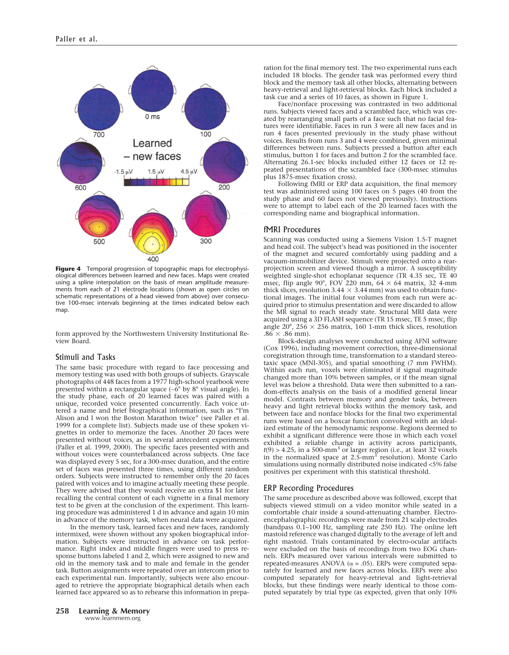

**Figure 4** Temporal progression of topographic maps for electrophysiological differences between learned and new faces. Maps were created using a spline interpolation on the basis of mean amplitude measurements from each of 21 electrode locations (shown as open circles on schematic representations of a head viewed from above) over consecutive 100-msec intervals beginning at the times indicated below each map.

form approved by the Northwestern University Institutional Review Board.

#### Stimuli and Tasks

The same basic procedure with regard to face processing and memory testing was used with both groups of subjects. Grayscale photographs of 448 faces from a 1977 high-school yearbook were presented within a rectangular space (∼6° by 8° visual angle). In the study phase, each of 20 learned faces was paired with a unique, recorded voice presented concurrently. Each voice uttered a name and brief biographical information, such as "I'm Alison and I won the Boston Marathon twice" (see Paller et al. 1999 for a complete list). Subjects made use of these spoken vignettes in order to memorize the faces. Another 20 faces were presented without voices, as in several antecedent experiments (Paller et al. 1999, 2000). The specific faces presented with and without voices were counterbalanced across subjects. One face was displayed every 5 sec, for a 300-msec duration, and the entire set of faces was presented three times, using different random orders. Subjects were instructed to remember only the 20 faces paired with voices and to imagine actually meeting these people. They were advised that they would receive an extra \$1 for later recalling the central content of each vignette in a final memory test to be given at the conclusion of the experiment. This learning procedure was administered 1 d in advance and again 10 min in advance of the memory task, when neural data were acquired.

In the memory task, learned faces and new faces, randomly intermixed, were shown without any spoken biographical information. Subjects were instructed in advance on task performance. Right index and middle fingers were used to press response buttons labeled 1 and 2, which were assigned to new and old in the memory task and to male and female in the gender task. Button assignments were repeated over an intercom prior to each experimental run. Importantly, subjects were also encouraged to retrieve the appropriate biographical details when each learned face appeared so as to rehearse this information in preparation for the final memory test. The two experimental runs each included 18 blocks. The gender task was performed every third block and the memory task all other blocks, alternating between heavy-retrieval and light-retrieval blocks. Each block included a task cue and a series of 10 faces, as shown in Figure 1.

Face/nonface processing was contrasted in two additional runs. Subjects viewed faces and a scrambled face, which was created by rearranging small parts of a face such that no facial features were identifiable. Faces in run 3 were all new faces and in run 4 faces presented previously in the study phase without voices. Results from runs 3 and 4 were combined, given minimal differences between runs. Subjects pressed a button after each stimulus, button 1 for faces and button 2 for the scrambled face. Alternating 26.1-sec blocks included either 12 faces or 12 repeated presentations of the scrambled face (300-msec stimulus plus 1875-msec fixation cross).

Following fMRI or ERP data acquisition, the final memory test was administered using 100 faces on 5 pages (40 from the study phase and 60 faces not viewed previously). Instructions were to attempt to label each of the 20 learned faces with the corresponding name and biographical information.

#### fMRI Procedures

Scanning was conducted using a Siemens Vision 1.5-T magnet and head coil. The subject's head was positioned in the isocenter of the magnet and secured comfortably using padding and a vacuum-immobilizer device. Stimuli were projected onto a rearprojection screen and viewed though a mirror. A susceptibility weighted single-shot echoplanar sequence (TR 4.35 sec, TE 40 msec, flip angle 90°, FOV 220 mm, 64  $\times$  64 matrix, 32 4-mm thick slices, resolution 3.44  $\times$  3.44 mm) was used to obtain functional images. The initial four volumes from each run were acquired prior to stimulus presentation and were discarded to allow the MR signal to reach steady state. Structural MRI data were acquired using a 3D FLASH sequence (TR 15 msec, TE 5 msec, flip angle 20°, 256  $\times$  256 matrix, 160 1-mm thick slices, resolution  $.86 \times .86$  mm).

Block-design analyses were conducted using AFNI software (Cox 1996), including movement correction, three-dimensional coregistration through time, transformation to a standard stereotaxic space (MNI-305), and spatial smoothing (7 mm FWHM). Within each run, voxels were eliminated if signal magnitude changed more than 10% between samples, or if the mean signal level was below a threshold. Data were then submitted to a random-effects analysis on the basis of a modified general linear model. Contrasts between memory and gender tasks, between heavy and light retrieval blocks within the memory task, and between face and nonface blocks for the final two experimental runs were based on a boxcar function convolved with an idealized estimate of the hemodynamic response. Regions deemed to exhibit a significant difference were those in which each voxel exhibited a reliable change in activity across participants,  $t(9) > 4.25$ , in a 500-mm<sup>3</sup> or larger region (i.e., at least 32 voxels in the normalized space at  $2.5\text{-mm}^3$  resolution). Monte Carlo simulations using normally distributed noise indicated <5% false positives per experiment with this statistical threshold.

#### ERP Recording Procedures

The same procedure as described above was followed, except that subjects viewed stimuli on a video monitor while seated in a comfortable chair inside a sound-attenuating chamber. Electroencephalographic recordings were made from 21 scalp electrodes (bandpass 0.1–100 Hz, sampling rate 250 Hz). The online left mastoid reference was changed digitally to the average of left and right mastoid. Trials contaminated by electro-ocular artifacts were excluded on the basis of recordings from two EOG channels. ERPs measured over various intervals were submitted to repeated-measures ANOVA ( $\alpha$  = .05). ERPs were computed separately for learned and new faces across blocks. ERPs were also computed separately for heavy-retrieval and light-retrieval blocks, but these findings were nearly identical to those computed separately by trial type (as expected, given that only 10%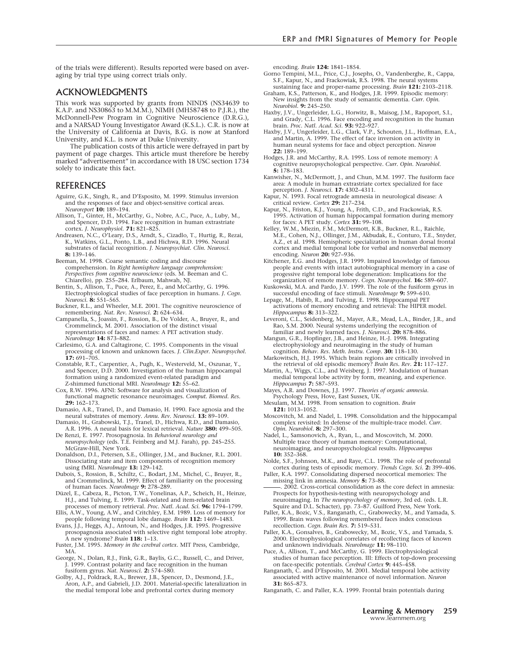of the trials were different). Results reported were based on averaging by trial type using correct trials only.

## ACKNOWLEDGMENTS

This work was supported by grants from NINDS (NS34639 to K.A.P. and NS30863 to M.M.M.), NIMH (MH58748 to P.J.R.), the McDonnell-Pew Program in Cognitive Neuroscience (D.R.G.), and a NARSAD Young Investigator Award (K.S.L.). C.R. is now at the University of California at Davis, B.G. is now at Stanford University, and K.L. is now at Duke University.

The publication costs of this article were defrayed in part by payment of page charges. This article must therefore be hereby marked "advertisement" in accordance with 18 USC section 1734 solely to indicate this fact.

## REFERENCES

- Aguirre, G.K., Singh, R., and D'Esposito, M. 1999. Stimulus inversion and the responses of face and object-sensitive cortical areas. *Neuroreport* **10:** 189–194.
- Allison, T., Ginter, H., McCarthy, G., Nobre, A.C., Puce, A., Luby, M., and Spencer, D.D. 1994. Face recognition in human extrastriate cortex. *J. Neurophysiol.* **71:** 821–825.
- Andreasen, N.C., O'Leary, D.S., Arndt, S., Cizadlo, T., Hurtig, R., Rezai, K., Watkins, G.L., Ponto, L.B., and Hichwa, R.D. 1996. Neural substrates of facial recognition. *J. Neuropsychiat. Clin. Neurosci.* **8:** 139–146.
- Beeman, M. 1998. Coarse semantic coding and discourse comprehension. In *Right hemisphere language comprehension: Perspectives from cognitive neuroscience* (eds. M. Beeman and C. Chiarello), pp. 255–284. Erlbaum, Mahwah, NJ.
- Bentin, S., Allison, T., Puce, A., Perez, E., and McCarthy, G. 1996. Electrophysiological studies of face perception in humans. *J. Cogn. Neurosci.* **8:** 551–565.
- Buckner, R.L., and Wheeler, M.E. 2001. The cognitive neuroscience of remembering. *Nat. Rev. Neurosci.* **2:** 624–634.
- Campanella, S., Joassin, F., Rossion, B., De Volder, A., Bruyer, R., and Crommelinck, M. 2001. Association of the distinct visual representations of faces and names: A PET activation study. *NeuroImage* **14:** 873–882.
- Carlesimo, G.A. and Caltagirone, C. 1995. Components in the visual processing of known and unknown faces. *J. Clin.Exper. Neuropsychol.* **17:** 691–705.
- Constable, R.T., Carpentier, A., Pugh, K., Westerveld, M., Oszunar, Y., and Spencer, D.D. 2000. Investigation of the human hippocampal formation using a randomized event-related paradigm and Z-shimmed functional MRI. *NeuroImage* **12:** 55–62.
- Cox, R.W. 1996. AFNI: Software for analysis and visualization of functional magnetic resonance neuroimages. *Comput. Biomed. Res.* **29:** 162–173.
- Damasio, A.R., Tranel, D., and Damasio, H. 1990. Face agnosia and the neural substrates of memory. *Annu. Rev. Neurosci.* **13:** 89–109.
- Damasio, H., Grabowski, T.J., Tranel, D., Hichwa, R.D., and Damasio, A.R. 1996. A neural basis for lexical retrieval. *Nature* **380:** 499–505.
- De Renzi, E. 1997. Prosopagnosia. In *Behavioral neurology and neuropsychology* (eds. T.E. Feinberg and M.J. Farah), pp. 245–255. McGraw-Hill, New York.
- Donaldson, D.I., Petersen, S.E., Ollinger, J.M., and Buckner, R.L. 2001. Dissociating state and item components of recognition memory using fMRI. *NeuroImage* **13:** 129–142.
- Dubois, S., Rossion, B., Schiltz, C., Bodart, J.M., Michel, C., Bruyer, R., and Crommelinck, M. 1999. Effect of familiarity on the processing of human faces. *NeuroImage* **9:** 278–289.
- Düzel, E., Cabeza, R., Picton, T.W., Yonelinas, A.P., Scheich, H., Heinze, H.J., and Tulving, E. 1999. Task-related and item-related brain processes of memory retrieval. *Proc. Natl. Acad. Sci.* **96:** 1794–1799.
- Ellis, A.W., Young, A.W., and Critchley, E.M. 1989. Loss of memory for people following temporal lobe damage. *Brain* **112:** 1469–1483.
- Evans, J.J., Heggs, A.J., Antoun, N., and Hodges, J.R. 1995. Progressive prosopagnosia associated with selective right temporal lobe atrophy. A new syndrome? *Brain* **118:** 1–13.
- Fuster, J.M. 1995. *Memory in the cerebral cortex*. MIT Press, Cambridge, MA.
- George, N., Dolan, R.J., Fink, G.R., Baylis, G.C., Russell, C., and Driver, J. 1999. Contrast polarity and face recognition in the human fusiform gyrus. *Nat. Neurosci.* **2:** 574–580.
- Golby, A.J., Poldrack, R.A., Brewer, J.B., Spencer, D., Desmond, J.E., Aron, A.P., and Gabrieli, J.D. 2001. Material-specific lateralization in the medial temporal lobe and prefrontal cortex during memory

encoding. *Brain* **124:** 1841–1854.

- Gorno Tempini, M.L., Price, C.J., Josephs, O., Vandenberghe, R., Cappa, S.F., Kapur, N., and Frackowiak, R.S. 1998. The neural systems sustaining face and proper-name processing. *Brain* **121:** 2103–2118.
- Graham, K.S., Patterson, K., and Hodges, J.R. 1999. Episodic memory: New insights from the study of semantic dementia. *Curr. Opin. Neurobiol.* **9:** 245–250.
- Haxby, J.V., Ungerleider, L.G., Horwitz, B., Maisog, J.M., Rapoport, S.I., and Grady, C.L. 1996. Face encoding and recognition in the human brain. *Proc. Natl. Acad. Sci.* **93:** 922–927.
- Haxby, J.V., Ungerleider, L.G., Clark, V.P., Schouten, J.L., Hoffman, E.A., and Martin, A. 1999. The effect of face inversion on activity in human neural systems for face and object perception. *Neuron* **22:** 189–199.
- Hodges, J.R. and McCarthy, R.A. 1995. Loss of remote memory: A cognitive neuropsychological perspective. *Curr. Opin. Neurobiol.* **5:** 178–183.
- Kanwisher, N., McDermott, J., and Chun, M.M. 1997. The fusiform face area: A module in human extrastriate cortex specialized for face perception. *J. Neurosci.* **17:** 4302–4311.
- Kapur, N. 1993. Focal retrograde amnesia in neurological disease: A critical review. *Cortex* **29:** 217–234.
- Kapur, N., Friston, K.J., Young, A., Frith, C.D., and Frackowiak, R.S. 1995. Activation of human hippocampal formation during memory for faces: A PET study. *Cortex* **31:** 99–108.
- Kelley, W.M., Miezin, F.M., McDermott, K.B., Buckner, R.L., Raichle, M.E., Cohen, N.J., Ollinger, J.M., Akbudak, E., Conturo, T.E., Snyder, A.Z., et al. 1998. Hemispheric specialization in human dorsal frontal cortex and medial temporal lobe for verbal and nonverbal memory encoding. *Neuron* **20:** 927–936.
- Kitchener, E.G. and Hodges, J.R. 1999. Impaired knowledge of famous people and events with intact autobiographical memory in a case of progessive right temporal lobe degeneration: Implications for the organization of remote memory. *Cogn. Neuropsychol.* **16:** 589–607.
- Kuskowski, M.A. and Pardo, J.V. 1999. The role of the fusiform gyrus in successful encoding of face stimuli. *NeuroImage* **9:** 599–610.
- Lepage, M., Habib, R., and Tulving, E. 1998. Hippocampal PET activations of memory encoding and retrieval: The HIPER model. *Hippocampus* **8:** 313–322.
- Leveroni, C.L., Seidenberg, M., Mayer, A.R., Mead, L.A., Binder, J.R., and Rao, S.M. 2000. Neural systems underlying the recognition of familiar and newly learned faces. *J. Neurosci.* **20:** 878–886.
- Mangun, G.R., Hopfinger, J.B., and Heinze, H.-J. 1998. Integrating electrophysiology and neuroimaging in the study of human cognition. *Behav. Res. Meth. Instru. Comp.* **30:** 118–130.
- Markowitsch, H.J. 1995. Which brain regions are critically involved in
- the retrieval of old episodic memory? *Brain Res. Rev.* **21:** 117–127. Martin, A., Wiggs, C.L., and Weisberg, J. 1997. Modulation of human medial temporal lobe activity by form, meaning, and experience. *Hippocampus* **7:** 587–593.
- Mayes, A.R. and Downes, J.J. 1997. *Theories of organic amnesia*.
- Psychology Press, Hove, East Sussex, UK. Mesulam, M.M. 1998. From sensation to cognition. *Brain* **121:** 1013–1052.
- Moscovitch, M. and Nadel, L. 1998. Consolidation and the hippocampal complex revisited: In defense of the multiple-trace model. *Curr. Opin. Neurobiol.* **8:** 297–300.
- Nadel, L., Samsonovich, A., Ryan, L., and Moscovitch, M. 2000. Multiple trace theory of human memory: Computational, neuroimaging, and neuropsychological results. *Hippocampus* **10:** 352–368.
- Nolde, S.F., Johnson, M.K., and Raye, C.L. 1998. The role of prefrontal cortex during tests of episodic memory. *Trends Cogn. Sci.* **2:** 399–406.
- Paller, K.A. 1997. Consolidating dispersed neocortical memories: The missing link in amnesia. *Memory* **5:** 73–88.
- . 2002. Cross-cortical consolidation as the core defect in amnesia: Prospects for hypothesis-testing with neuropsychology and neuroimaging. In *The neuropsychology of memory*, 3rd ed. (eds. L.R. Squire and D.L. Schacter), pp. 73–87. Guilford Press, New York.
- Paller, K.A., Bozic, V.S., Ranganath, C., Grabowecky, M., and Yamada, S. 1999. Brain waves following remembered faces index conscious recollection. *Cogn. Brain Res.* **7:** 519–531.
- Paller, K.A., Gonsalves, B., Grabowecky, M., Bozic, V.S., and Yamada, S. 2000. Electrophysiological correlates of recollecting faces of known and unknown individuals. *NeuroImage* **11:** 98–110.
- Puce, A., Allison, T., and McCarthy, G. 1999. Electrophysiological studies of human face perception. III: Effects of top-down processing on face-specific potentials. *Cerebral Cortex* **9:** 445–458.
- Ranganath, C. and D'Esposito, M. 2001. Medial temporal lobe activity associated with active maintenance of novel information. *Neuron* **31:** 865–873.
- Ranganath, C. and Paller, K.A. 1999. Frontal brain potentials during